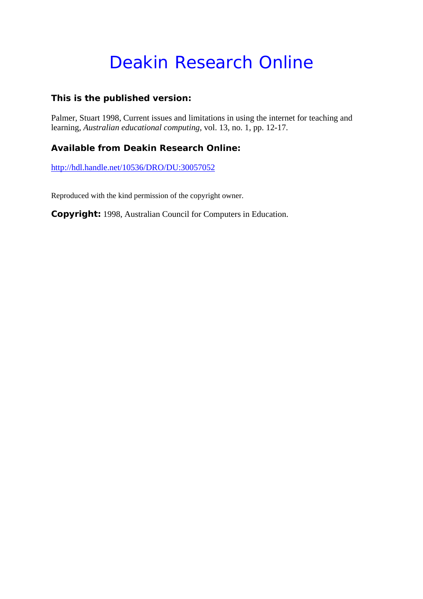## Deakin Research Online

#### **This is the published version:**

Palmer, Stuart 1998, Current issues and limitations in using the internet for teaching and learning*, Australian educational computing*, vol. 13, no. 1, pp. 12-17.

#### **Available from Deakin Research Online:**

http://hdl.handle.net/10536/DRO/DU:30057052

Reproduced with the kind permission of the copyright owner.

**Copyright:** 1998, Australian Council for Computers in Education.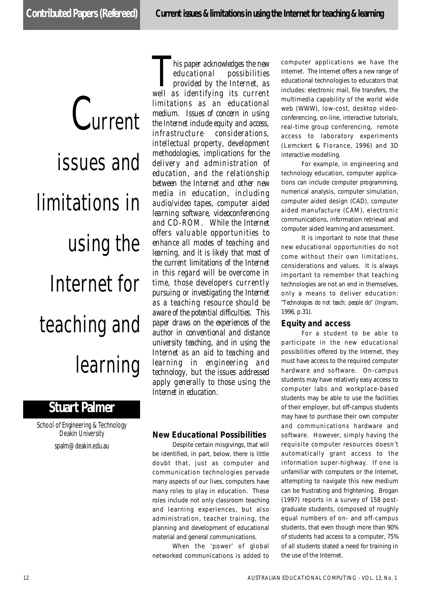# Current issues and limitations in using the Internet for teaching and learning

### **Stuart Palmer**

School of Engineering & Technology Deakin University spalm@deakin.edu.au

**T** *This paper acknowledges the new* **educational possibilities**provided by the Internet, as
well as identifying its current *his paper acknowledges the new educational possibilities p rovided by the Internet, as limitations as an educational medium. Issues of concern in using the Internet include equity and access, i n f r a s t ru c t u re considerations, intellectual property, development methodologies, implications for the d e l i v e ry and administration of*  $eduction, and the relationship$ *between the Internet and other new media in education, including audio/video tapes, computer aided learning software, videoconferencing* and CD-ROM. While the Internet *o ffers valuable opportunities to enhance all modes of teaching and* learning, and it is likely that most of the current limitations of the Internet *in this regard will be overcome in time, those developers currently* pursuing or investigating the Internet as a teaching resource should be *a w a re of the potential difficulties. This paper draws on the experiences of the author in conventional and distance university teaching, and in using the* Internet as an aid to teaching and *l e a rning in engineering and technology*, but the issues addressed *apply generally to those using the* Internet in education.

#### **New Educational Possibilities**

Despite certain misgivings, that will be identified, in part, below, there is little doubt that, just as computer and communication technologies pervade many aspects of our lives, computers have many roles to play in education. These roles include not only classroom teaching and learning experiences, but also administration, teacher training, the planning and development of educational material and general communications.

When the 'power' of global networked communications is added to computer applications we have the Internet. The Internet offers a new range of educational technologies to educators that includes: electronic mail, file transfers, the multimedia capability of the world wide web (WWW), low-cost, desktop videoconferencing, on-line, interactive tutorials, real-time group conferencing, remote access to laboratory experiments (Lemckert & Florance, 1996) and 3D interactive modelling.

For example, in engineering and technology education, computer applications can include computer programming, numerical analysis, computer simulation, computer aided design (CAD), computer aided manufacture (CAM), electronic communications, information retrieval and computer aided learning and assessment.

It is important to note that these new educational opportunities do not come without their own limitations, considerations and values. It is always important to remember that teaching technologies are not an end in themselves, only a means to deliver education: "Technologies do not teach; people do" (Ingram, 1996, p.31).

#### **Equity and access**

For a student to be able to participate in the new educational possibilities offered by the Internet, they must have access to the required computer hardware and software. On-campus students may have relatively easy access to computer labs and workplace-based students may be able to use the facilities of their employer, but off-campus students may have to purchase their own computer and communications hardware and software. However, simply having the requisite computer resources doesn't automatically grant access to the information super-highway. If one is unfamiliar with computers or the Internet, attempting to navigate this new medium can be frustrating and frightening. Brogan (1997) reports in a survey of 158 postgraduate students, composed of roughly equal numbers of on- and off-campus students, that even though more than 90% of students had access to a computer, 75% of all students stated a need for training in the use of the Internet.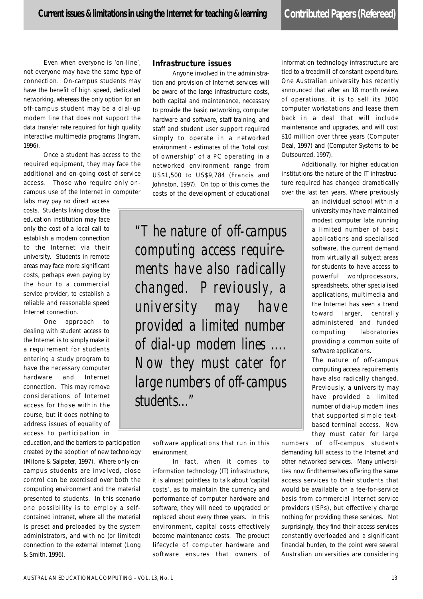Even when everyone is 'on-line', not everyone may have the same type of connection. On-campus students may have the benefit of high speed, dedicated networking, whereas the only option for an off-campus student may be a dial-up modem line that does not support the data transfer rate required for high quality interactive multimedia programs (Ingram, 1996).

Once a student has access to the required equipment, they may face the additional and on-going cost of service access. Those who require only oncampus use of the Internet in computer

labs may pay no direct access costs. Students living close the education institution may face only the cost of a local call to establish a modem connection to the Internet via their university. Students in remote areas may face more significant costs, perhaps even paying by the hour to a commercial service provider, to establish a reliable and reasonable speed Internet connection.

One approach to dealing with student access to the Internet is to simply make it a requirement for students entering a study program to have the necessary computer hardware and Internet connection. This may remove considerations of Internet access for those within the course, but it does nothing to address issues of equality of access to participation in

education, and the barriers to participation created by the adoption of new technology (Milone & Salpeter, 1997). Where only oncampus students are involved, close control can be exercised over both the computing environment and the material presented to students. In this scenario one possibility is to employ a selfcontained intranet, where all the material is preset and preloaded by the system administrators, and with no (or limited) connection to the external Internet (Long & Smith, 1996).

#### **Infrastructure issues**

Anyone involved in the administration and provision of Internet services will be aware of the large infrastructure costs, both capital and maintenance, necessary to provide the basic networking, computer hardware and software, staff training, and staff and student user support required simply to operate in a networked environment - estimates of the 'total cost of ownership' of a PC operating in a networked environment range from US\$1,500 to US\$9,784 (Francis and Johnston, 1997). On top of this comes the costs of the development of educational

*"The nature of off-campus computing access requirements have also radically changed. Previously, a university may have provided a limited number of dial-up modem lines .... Now they must cater for large numbers of off-campus students...*"

> software applications that run in this environment.

> In fact, when it comes to information technology (IT) infrastructure, it is almost pointless to talk about 'capital costs', as to maintain the currency and performance of computer hardware and software, they will need to upgraded or replaced about every three years. In this environment, capital costs effectively become maintenance costs. The product lifecycle of computer hardware and software ensures that owners of

information technology infrastructure are tied to a treadmill of constant expenditure. One Australian university has recently announced that after an 18 month review of operations, it is to sell its 3000 computer workstations and lease them back in a deal that will include maintenance and upgrades, and will cost \$10 million over three years (Computer Deal, 1997) and (Computer Systems to be Outsourced, 1997).

Additionally, for higher education institutions the nature of the IT infrastructure required has changed dramatically over the last ten years. Where previously

> an individual school within a university may have maintained modest computer labs running a limited number of basic applications and specialised software, the current demand from virtually all subject areas for students to have access to powerful wordprocessors, spreadsheets, other specialised applications, multimedia and the Internet has seen a trend toward larger, centrally administered and funded computing laboratories providing a common suite of software applications.

> The nature of off-campus computing access requirements have also radically changed. Previously, a university may have provided a limited number of dial-up modem lines that supported simple textbased terminal access. Now they must cater for large

numbers of off-campus students demanding full access to the Internet and other networked services. Many universities now findthemselves offering the same access services to their students that would be available on a fee-for-service basis from commercial Internet service providers (ISPs), but effectively charge nothing for providing these services. Not surprisingly, they find their access services constantly overloaded and a significant financial burden, to the point were several Australian universities are considering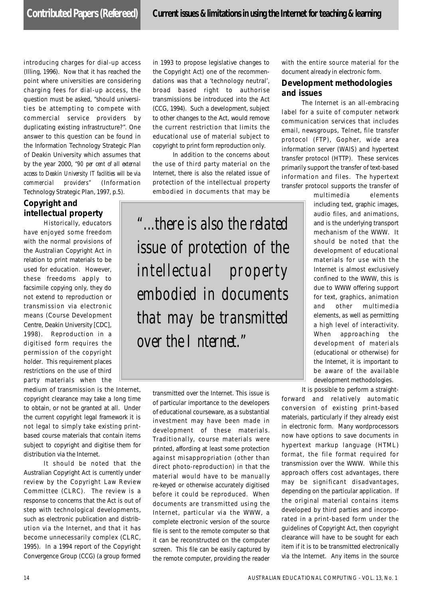introducing charges for dial-up access (Illing, 1996). Now that it has reached the point where universities are considering charging fees for dial-up access, the question must be asked, "should universities be attempting to compete with commercial service providers by duplicating existing infrastructure?". One answer to this question can be found in the Information Technology Strategic Plan of Deakin University which assumes that by the year 2000, *"90 per cent of all external access to Deakin University IT facilities will be via* commercial providers" (Information Technology Strategic Plan, 1997, p.5).

#### **Copyright and intellectual property**

Historically, educators have enjoyed some freedom with the normal provisions of the Australian Copyright Act in relation to print materials to be used for education. However, these freedoms apply to facsimile copying only, they do not extend to reproduction or transmission via electronic means (Course Development Centre, Deakin University [CDC], 1998). Reproduction in a digitised form requires the permission of the copyright holder. This requirement places restrictions on the use of third party materials when the

medium of transmission is the Internet, copyright clearance may take a long time to obtain, or not be granted at all. Under the current copyright legal framework it is not legal to simply take existing printbased course materials that contain items subject to copyright and digitise them for distribution via the Internet.

It should be noted that the Australian Copyright Act is currently under review by the Copyright Law Review Committee (CLRC). The review is a response to concerns that the Act is out of step with technological developments, such as electronic publication and distribution via the Internet, and that it has become unnecessarily complex (CLRC, 1995). In a 1994 report of the Copyright Convergence Group (CCG) (a group formed in 1993 to propose legislative changes to the Copyright Act) one of the recommendations was that a 'technology neutral', broad based right to authorise transmissions be introduced into the Act (CCG, 1994). Such a development, subject to other changes to the Act, would remove the current restriction that limits the educational use of material subject to copyright to print form reproduction only.

In addition to the concerns about the use of third party material on the Internet, there is also the related issue of protection of the intellectual property embodied in documents that may be

*"...there is also the related issue of protection of the intellectual property embodied in documents that may be transmitted over the Internet."*

> transmitted over the Internet. This issue is of particular importance to the developers of educational courseware, as a substantial investment may have been made in development of these materials. Traditionally, course materials were printed, affording at least some protection against misappropriation (other than direct photo-reproduction) in that the material would have to be manually re-keyed or otherwise accurately digitised before it could be reproduced. When documents are transmitted using the Internet, particular via the WWW, a complete electronic version of the source file is sent to the remote computer so that it can be reconstructed on the computer screen. This file can be easily captured by the remote computer, providing the reader

with the entire source material for the document already in electronic form.

#### **Development methodologies and issues**

The Internet is an all-embracing label for a suite of computer network communication services that includes email, newsgroups, Telnet, file transfer protocol (FTP), Gopher, wide area information server (WAIS) and hypertext transfer protocol (HTTP). These services primarily support the transfer of text-based information and files. The hypertext transfer protocol supports the transfer of

> multimedia elements including text, graphic images, audio files, and animations, and is the underlying transport mechanism of the WWW. It should be noted that the development of educational materials for use with the Internet is almost exclusively confined to the WWW, this is due to WWW offering support for text, graphics, animation and other multimedia elements, as well as permitting a high level of interactivity. When approaching the development of materials (educational or otherwise) for the Internet, it is important to be aware of the available development methodologies.

It is possible to perform a straight-

forward and relatively automatic conversion of existing print-based materials, particularly if they already exist in electronic form. Many wordprocessors now have options to save documents in hypertext markup language (HTML) format, the file format required for transmission over the WWW. While this approach offers cost advantages, there may be significant disadvantages, depending on the particular application. If the original material contains items developed by third parties and incorporated in a print-based form under the guidelines of Copyright Act, then copyright clearance will have to be sought for each item if it is to be transmitted electronically via the Internet. Any items in the source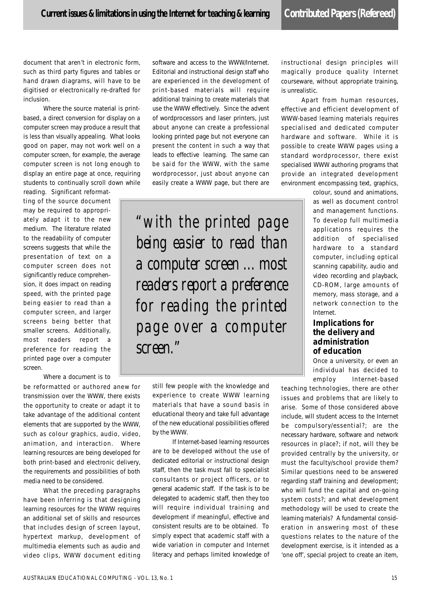document that aren't in electronic form, such as third party figures and tables or hand drawn diagrams, will have to be digitised or electronically re-drafted for inclusion.

Where the source material is printbased, a direct conversion for display on a computer screen may produce a result that is less than visually appealing. What looks good on paper, may not work well on a computer screen, for example, the average computer screen is not long enough to display an entire page at once, requiring students to continually scroll down while

reading. Significant reformatting of the source document may be required to appropriately adapt it to the new medium. The literature related to the readability of computer screens suggests that while the presentation of text on a computer screen does not significantly reduce comprehension, it does impact on reading speed, with the printed page being easier to read than a computer screen, and larger screens being better that smaller screens. Additionally, most readers report a preference for reading the printed page over a computer screen.

Where a document is to

be reformatted or authored anew for transmission over the WWW, there exists the opportunity to create or adapt it to take advantage of the additional content elements that are supported by the WWW, such as colour graphics, audio, video, animation, and interaction. Where learning resources are being developed for both print-based and electronic delivery, the requirements and possibilities of both media need to be considered.

What the preceding paragraphs have been inferring is that designing learning resources for the WWW requires an additional set of skills and resources that includes design of screen layout, hypertext markup, development of multimedia elements such as audio and video clips, WWW document editing software and access to the WWW/Internet. Editorial and instructional design staff who are experienced in the development of print-based materials will require additional training to create materials that use the WWW effectively. Since the advent of wordprocessors and laser printers, just about anyone can create a professional looking printed page but not everyone can present the content in such a way that leads to effective learning. The same can be said for the WWW, with the same wordprocessor, just about anyone can easily create a WWW page, but there are

*"with the printed page being easier to read than a computer screen ... most readers report a preference for reading the printed page over a computer s c r e e n . "*

> still few people with the knowledge and experience to create WWW learning materials that have a sound basis in educational theory and take full advantage of the new educational possibilities offered by the WWW.

> If Internet-based learning resources are to be developed without the use of dedicated editorial or instructional design staff, then the task must fall to specialist consultants or project officers, or to general academic staff. If the task is to be delegated to academic staff, then they too will require individual training and development if meaningful, effective and consistent results are to be obtained. To simply expect that academic staff with a wide variation in computer and Internet literacy and perhaps limited knowledge of

instructional design principles will magically produce quality Internet courseware, without appropriate training, is unrealistic.

Apart from human resources, effective and efficient development of WWW-based learning materials requires specialised and dedicated computer hardware and software. While it is possible to create WWW pages using a standard wordprocessor, there exist specialised WWW authoring programs that provide an integrated development environment encompassing text, graphics,

> colour, sound and animations, as well as document control and management functions. To develop full multimedia applications requires the addition of specialised hardware to a standard computer, including optical scanning capability, audio and video recording and playback, CD-ROM, large amounts of memory, mass storage, and a network connection to the Internet.

#### **Implications for the delivery and administration of education**

Once a university, or even an individual has decided to employ Internet-based

teaching technologies, there are other issues and problems that are likely to arise. Some of those considered above include, will student access to the Internet be compulsory/essential?; are the necessary hardware, software and network resources in place?; if not, will they be provided centrally by the university, or must the faculty/school provide them? Similar questions need to be answered regarding staff training and development; who will fund the capital and on-going system costs?; and what development methodology will be used to create the learning materials? A fundamental consideration in answering most of these questions relates to the nature of the development exercise, is it intended as a 'one off', special project to create an item,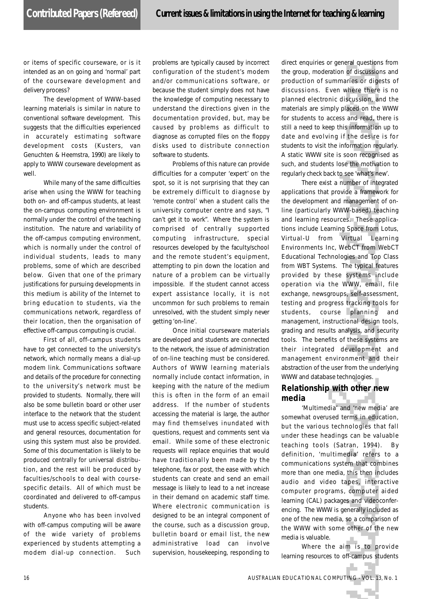or items of specific courseware, or is it intended as an on going and 'normal' part of the courseware development and delivery process?

The development of WWW-based learning materials is similar in nature to conventional software development. This suggests that the difficulties experienced in accurately estimating software development costs (Kusters, van Genuchten & Heemstra, 1990) are likely to apply to WWW courseware development as well.

While many of the same difficulties arise when using the WWW for teaching both on- and off-campus students, at least the on-campus computing environment is normally under the control of the teaching institution. The nature and variability of the off-campus computing environment, which is normally under the control of individual students, leads to many problems, some of which are described below. Given that one of the primary justifications for pursuing developments in this medium is ability of the Internet to bring education to students, via the communications network, regardless of their location, then the organisation of effective off-campus computing is crucial.

First of all, off-campus students have to get connected to the university's network, which normally means a dial-up modem link. Communications software and details of the procedure for connecting to the university's network must be provided to students. Normally, there will also be some bulletin board or other user interface to the network that the student must use to access specific subject-related and general resources, documentation for using this system must also be provided. Some of this documentation is likely to be produced centrally for universal distribution, and the rest will be produced by faculties/schools to deal with coursespecific details. All of which must be coordinated and delivered to off-campus students.

Anyone who has been involved with off-campus computing will be aware of the wide variety of problems experienced by students attempting a modem dial-up connection. Such

problems are typically caused by incorrect configuration of the student's modem and/or communications software, or because the student simply does not have the knowledge of computing necessary to understand the directions given in the documentation provided, but, may be caused by problems as difficult to diagnose as corrupted files on the floppy disks used to distribute connection software to students.

Problems of this nature can provide difficulties for a computer 'expert' on the spot, so it is not surprising that they can be extremely difficult to diagnose by 'remote control' when a student calls the university computer centre and says, "I can't get it to work". Where the system is comprised of centrally supported computing infrastructure, special resources developed by the faculty/school and the remote student's equipment, attempting to pin down the location and nature of a problem can be virtually impossible. If the student cannot access expert assistance locally, it is not uncommon for such problems to remain unresolved, with the student simply never getting 'on-line'.

Once initial courseware materials are developed and students are connected to the network, the issue of administration of on-line teaching must be considered. Authors of WWW learning materials normally include contact information, in keeping with the nature of the medium this is often in the form of an email address. If the number of students accessing the material is large, the author may find themselves inundated with questions, request and comments sent via email. While some of these electronic requests will replace enquiries that would have traditionally been made by the telephone, fax or post, the ease with which students can create and send an email message is likely to lead to a net increase in their demand on academic staff time. Where electronic communication is designed to be an integral component of the course, such as a discussion group, bulletin board or email list, the new administrative load can involve supervision, housekeeping, responding to

direct enquiries or general questions from the group, moderation of discussions and production of summaries or digests of discussions. Even where there is no planned electronic discussion, and the materials are simply placed on the WWW for students to access and read, there is still a need to keep this information up to date and evolving if the desire is for students to visit the information regularly. A static WWW site is soon recognised as such, and students lose the motivation to regularly check back to see 'what's new'.

There exist a number of integrated applications that provide a framework for the development and management of online (particularly WWW-based) teaching and learning resources. These applications include Learning Space from Lotus, Virtual-U from Virtual Learning Environments Inc, WebCT from WebCT Educational Technologies and Top Class from WBT Systems. The typical features provided by these systems include operation via the WWW, email, file exchange, newsgroups, self-assessment, testing and progress tracking tools for students, course planning and management, instructional design tools, grading and results analysis, and security tools. The benefits of these systems are their integrated development and management environment and their abstraction of the user from the underlying WWW and database technologies.

#### **Relationship with other new media**

'Multimedia' and 'new media' are somewhat overused terms in education, but the various technologies that fall under these headings can be valuable teaching tools (Satran, 1994). By definition, 'multimedia' refers to a communications system that combines more than one media, this then includes audio and video tapes, interactive computer programs, computer aided learning (CAL) packages and videoconferencing. The WWW is generally included as one of the new media, so a comparison of the WWW with some other of the new media is valuable.

Where the aim is to provide learning resources to off-campus students

55